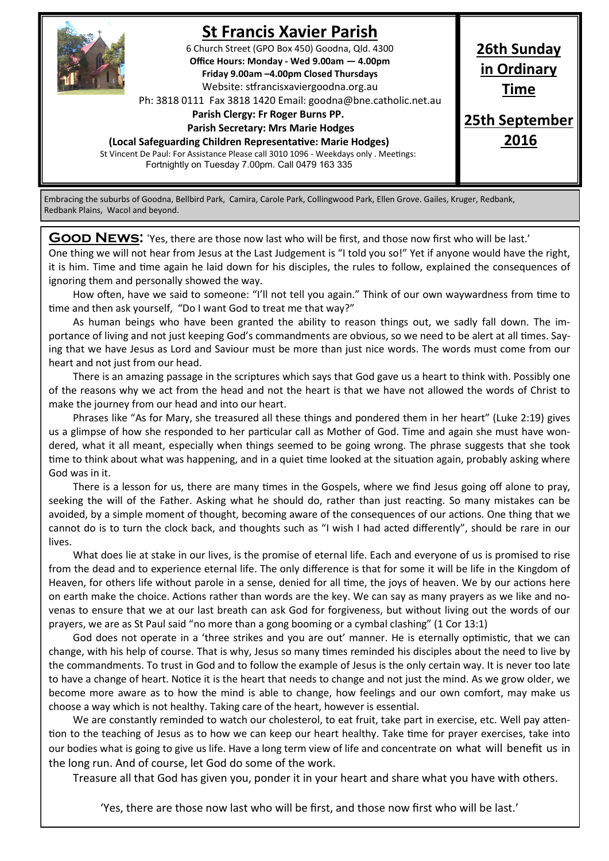

## **St Francis Xavier Parish**

6 Church Street (GPO Box 450) Goodna, Qld. 4300 **Office Hours: Monday - Wed 9.00am — 4.00pm Friday 9.00am –4.00pm Closed Thursdays**  Website: stfrancisxaviergoodna.org.au

Ph: 3818 0111 Fax 3818 1420 Email: goodna@bne.catholic.net.au

 **Parish Clergy: Fr Roger Burns PP.** 

 **Parish Secretary: Mrs Marie Hodges**

**(Local Safeguarding Children Representative: Marie Hodges)**

St Vincent De Paul: For Assistance Please call 3010 1096 - Weekdays only . Meetings: Fortnightly on Tuesday 7.00pm. Call 0479 163 335

**26th Sunday in Ordinary Time**

**25th September 2016**

Embracing the suburbs of Goodna, Bellbird Park, Camira, Carole Park, Collingwood Park, Ellen Grove. Gailes, Kruger, Redbank, Redbank Plains, Wacol and beyond.

**GOOD NEWS:** 'Yes, there are those now last who will be first, and those now first who will be last.' One thing we will not hear from Jesus at the Last Judgement is "I told you so!" Yet if anyone would have the right, it is him. Time and time again he laid down for his disciples, the rules to follow, explained the consequences of ignoring them and personally showed the way.

How often, have we said to someone: "I'll not tell you again." Think of our own waywardness from time to time and then ask yourself, "Do I want God to treat me that way?"

As human beings who have been granted the ability to reason things out, we sadly fall down. The importance of living and not just keeping God's commandments are obvious, so we need to be alert at all times. Saying that we have Jesus as Lord and Saviour must be more than just nice words. The words must come from our heart and not just from our head.

There is an amazing passage in the scriptures which says that God gave us a heart to think with. Possibly one of the reasons why we act from the head and not the heart is that we have not allowed the words of Christ to make the journey from our head and into our heart.

Phrases like "As for Mary, she treasured all these things and pondered them in her heart" (Luke 2:19) gives us a glimpse of how she responded to her particular call as Mother of God. Time and again she must have wondered, what it all meant, especially when things seemed to be going wrong. The phrase suggests that she took time to think about what was happening, and in a quiet time looked at the situation again, probably asking where God was in it.

There is a lesson for us, there are many times in the Gospels, where we find Jesus going off alone to pray, seeking the will of the Father. Asking what he should do, rather than just reacting. So many mistakes can be avoided, by a simple moment of thought, becoming aware of the consequences of our actions. One thing that we cannot do is to turn the clock back, and thoughts such as "I wish I had acted differently", should be rare in our lives.

What does lie at stake in our lives, is the promise of eternal life. Each and everyone of us is promised to rise from the dead and to experience eternal life. The only difference is that for some it will be life in the Kingdom of Heaven, for others life without parole in a sense, denied for all time, the joys of heaven. We by our actions here on earth make the choice. Actions rather than words are the key. We can say as many prayers as we like and novenas to ensure that we at our last breath can ask God for forgiveness, but without living out the words of our prayers, we are as St Paul said "no more than a gong booming or a cymbal clashing" (1 Cor 13:1)

God does not operate in a 'three strikes and you are out' manner. He is eternally optimistic, that we can change, with his help of course. That is why, Jesus so many times reminded his disciples about the need to live by the commandments. To trust in God and to follow the example of Jesus is the only certain way. It is never too late to have a change of heart. Notice it is the heart that needs to change and not just the mind. As we grow older, we become more aware as to how the mind is able to change, how feelings and our own comfort, may make us choose a way which is not healthy. Taking care of the heart, however is essential.

We are constantly reminded to watch our cholesterol, to eat fruit, take part in exercise, etc. Well pay attention to the teaching of Jesus as to how we can keep our heart healthy. Take time for prayer exercises, take into our bodies what is going to give us life. Have a long term view of life and concentrate on what will benefit us in the long run. And of course, let God do some of the work.

Treasure all that God has given you, ponder it in your heart and share what you have with others.

'Yes, there are those now last who will be first, and those now first who will be last.'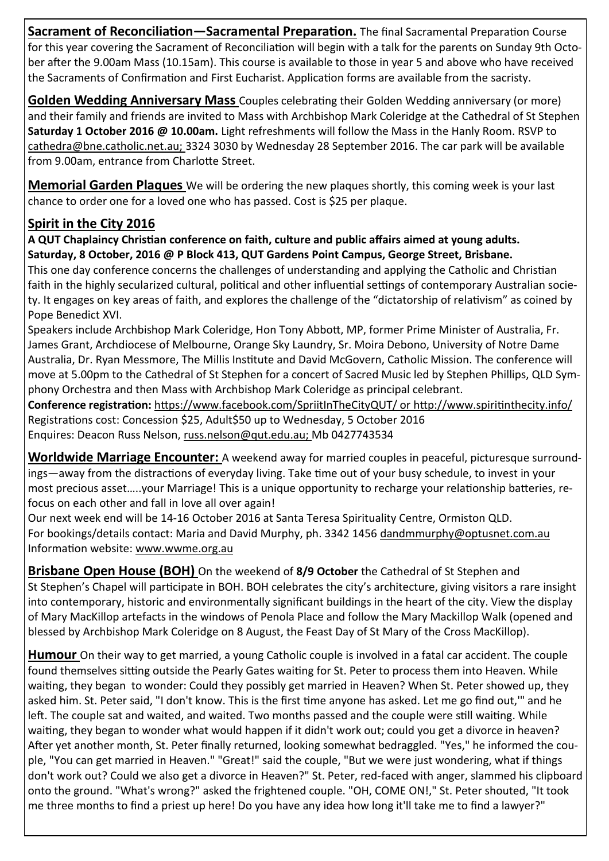**Sacrament of Reconciliation—Sacramental Preparation.** The final Sacramental Preparation Course for this year covering the Sacrament of Reconciliation will begin with a talk for the parents on Sunday 9th October after the 9.00am Mass (10.15am). This course is available to those in year 5 and above who have received the Sacraments of Confirmation and First Eucharist. Application forms are available from the sacristy.

**Golden Wedding Anniversary Mass** Couples celebrating their Golden Wedding anniversary (or more) and their family and friends are invited to Mass with Archbishop Mark Coleridge at the Cathedral of St Stephen **Saturday 1 October 2016 @ 10.00am.** Light refreshments will follow the Mass in the Hanly Room. RSVP to cathedra@bne.catholic.net.au; 3324 3030 by Wednesday 28 September 2016. The car park will be available from 9.00am, entrance from Charlotte Street.

**Memorial Garden Plaques** We will be ordering the new plaques shortly, this coming week is your last chance to order one for a loved one who has passed. Cost is \$25 per plaque.

## **Spirit in the City 2016**

**A QUT Chaplaincy Christian conference on faith, culture and public affairs aimed at young adults. Saturday, 8 October, 2016 @ P Block 413, QUT Gardens Point Campus, George Street, Brisbane.**

This one day conference concerns the challenges of understanding and applying the Catholic and Christian faith in the highly secularized cultural, political and other influential settings of contemporary Australian society. It engages on key areas of faith, and explores the challenge of the "dictatorship of relativism" as coined by Pope Benedict XVI.

Speakers include Archbishop Mark Coleridge, Hon Tony Abbott, MP, former Prime Minister of Australia, Fr. James Grant, Archdiocese of Melbourne, Orange Sky Laundry, Sr. Moira Debono, University of Notre Dame Australia, Dr. Ryan Messmore, The Millis Institute and David McGovern, Catholic Mission. The conference will move at 5.00pm to the Cathedral of St Stephen for a concert of Sacred Music led by Stephen Phillips, QLD Symphony Orchestra and then Mass with Archbishop Mark Coleridge as principal celebrant.

**Conference registration:** https://www.facebook.com/SpriitInTheCityQUT/ or http://www.spiritinthecity.info/ Registrations cost: Concession \$25, Adult\$50 up to Wednesday, 5 October 2016 Enquires: Deacon Russ Nelson, russ.nelson@qut.edu.au; Mb 0427743534

**Worldwide Marriage Encounter:** A weekend away for married couples in peaceful, picturesque surroundings—away from the distractions of everyday living. Take time out of your busy schedule, to invest in your most precious asset…..your Marriage! This is a unique opportunity to recharge your relationship batteries, refocus on each other and fall in love all over again!

Our next week end will be 14-16 October 2016 at Santa Teresa Spirituality Centre, Ormiston QLD. For bookings/details contact: Maria and David Murphy, ph. 3342 1456 dandmmurphy@optusnet.com.au Information website: www.wwme.org.au

**Brisbane Open House (BOH)** On the weekend of **8/9 October** the Cathedral of St Stephen and St Stephen's Chapel will participate in BOH. BOH celebrates the city's architecture, giving visitors a rare insight into contemporary, historic and environmentally significant buildings in the heart of the city. View the display of Mary MacKillop artefacts in the windows of Penola Place and follow the Mary Mackillop Walk (opened and blessed by Archbishop Mark Coleridge on 8 August, the Feast Day of St Mary of the Cross MacKillop).

**Humour** On their way to get married, a young Catholic couple is involved in a fatal car accident. The couple found themselves sitting outside the Pearly Gates waiting for St. Peter to process them into Heaven. While waiting, they began to wonder: Could they possibly get married in Heaven? When St. Peter showed up, they asked him. St. Peter said, "I don't know. This is the first time anyone has asked. Let me go find out,'" and he left. The couple sat and waited, and waited. Two months passed and the couple were still waiting. While waiting, they began to wonder what would happen if it didn't work out; could you get a divorce in heaven? After yet another month, St. Peter finally returned, looking somewhat bedraggled. "Yes," he informed the couple, "You can get married in Heaven." "Great!" said the couple, "But we were just wondering, what if things don't work out? Could we also get a divorce in Heaven?" St. Peter, red-faced with anger, slammed his clipboard onto the ground. "What's wrong?" asked the frightened couple. "OH, COME ON!," St. Peter shouted, "It took me three months to find a priest up here! Do you have any idea how long it'll take me to find a lawyer?"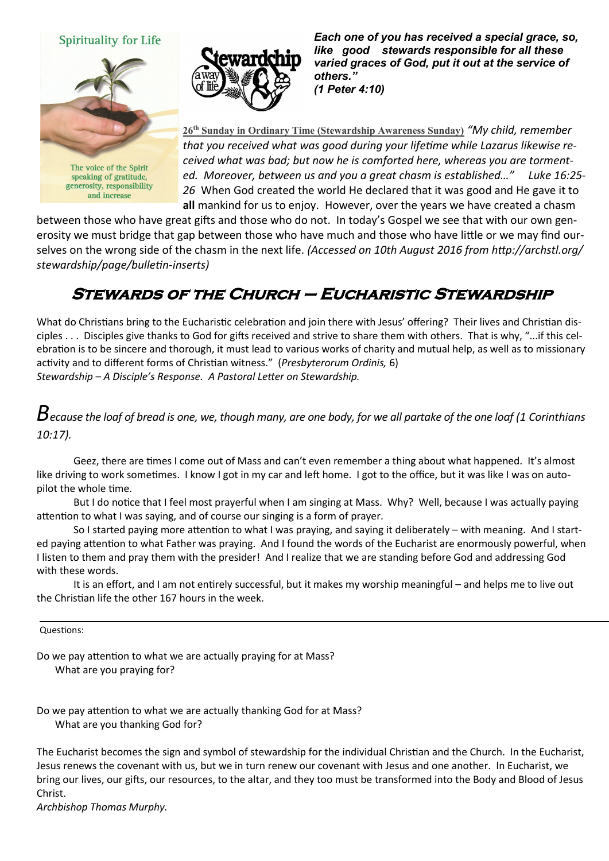

The voice of the Spirit speaking of gratitude, generosity, responsibility and increase



*Each one of you has received a special grace, so, like good stewards responsible for all these varied graces of God, put it out at the service of others." (1 Peter 4:10)* 

**26th Sunday in Ordinary Time (Stewardship Awareness Sunday)** *"My child, remember that you received what was good during your lifetime while Lazarus likewise received what was bad; but now he is comforted here, whereas you are tormented. Moreover, between us and you a great chasm is established…" Luke 16:25- 26* When God created the world He declared that it was good and He gave it to **all** mankind for us to enjoy. However, over the years we have created a chasm

between those who have great gifts and those who do not. In today's Gospel we see that with our own generosity we must bridge that gap between those who have much and those who have little or we may find ourselves on the wrong side of the chasm in the next life. *(Accessed on 10th August 2016 from http://archstl.org/ stewardship/page/bulletin-inserts)*

## **Stewards of the Church – Eucharistic Stewardship**

What do Christians bring to the Eucharistic celebration and join there with Jesus' offering? Their lives and Christian disciples . . . Disciples give thanks to God for gifts received and strive to share them with others. That is why, "...if this celebration is to be sincere and thorough, it must lead to various works of charity and mutual help, as well as to missionary activity and to different forms of Christian witness." (*Presbyterorum Ordinis,* 6) *Stewardship – A Disciple's Response. A Pastoral Letter on Stewardship.*

## *Because the loaf of bread is one, we, though many, are one body, for we all partake of the one loaf (1 Corinthians 10:17).*

Geez, there are times I come out of Mass and can't even remember a thing about what happened. It's almost like driving to work sometimes. I know I got in my car and left home. I got to the office, but it was like I was on autopilot the whole time.

But I do notice that I feel most prayerful when I am singing at Mass. Why? Well, because I was actually paying attention to what I was saying, and of course our singing is a form of prayer.

So I started paying more attention to what I was praying, and saying it deliberately – with meaning. And I started paying attention to what Father was praying. And I found the words of the Eucharist are enormously powerful, when I listen to them and pray them with the presider! And I realize that we are standing before God and addressing God with these words.

It is an effort, and I am not entirely successful, but it makes my worship meaningful – and helps me to live out the Christian life the other 167 hours in the week.

Questions:

Do we pay attention to what we are actually praying for at Mass? What are you praying for?

Do we pay attention to what we are actually thanking God for at Mass? What are you thanking God for?

The Eucharist becomes the sign and symbol of stewardship for the individual Christian and the Church. In the Eucharist, Jesus renews the covenant with us, but we in turn renew our covenant with Jesus and one another. In Eucharist, we bring our lives, our gifts, our resources, to the altar, and they too must be transformed into the Body and Blood of Jesus Christ.

*Archbishop Thomas Murphy.*